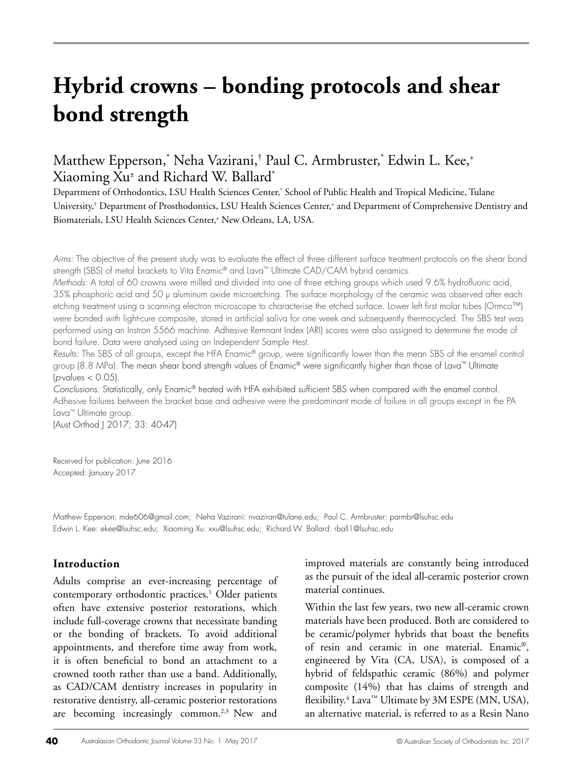# **Hybrid crowns – bonding protocols and shear bond strength**

# Matthew Epperson,\* Neha Vazirani,† Paul C. Armbruster,\* Edwin L. Kee,+ Xiaoming Xu± and Richard W. Ballard\* Department of Orthodontics, LSU Health Sciences Center,\*

Department of Orthodontics, LSU Health Sciences Center,' School of Public Health and Tropical Medicine, Tulane University,† Department of Prosthodontics, LSU Health Sciences Center,+ and Department of Comprehensive Dentistry and Biomaterials, LSU Health Sciences Center,± New Orleans, LA, USA.

*Aims:* The objective of the present study was to evaluate the effect of three different surface treatment protocols on the shear bond strength (SBS) of metal brackets to Vita Enamic® and Lava™ Ultimate CAD/CAM hybrid ceramics.

*Methods:* A total of 60 crowns were milled and divided into one of three etching groups which used 9.6% hydrofluoric acid, 35% phosphoric acid and 50 µ aluminum oxide microetching. The surface morphology of the ceramic was observed after each etching treatment using a scanning electron microscope to characterise the etched surface. Lower left first molar tubes (Ormco™) were bonded with light-cure composite, stored in artificial saliva for one week and subsequently thermocycled. The SBS test was performed using an Instron 5566 machine. Adhesive Remnant Index (ARI) scores were also assigned to determine the mode of bond failure. Data were analysed using an Independent Sample *Hest*.

*Results:* The SBS of all groups, except the HFA Enamic® group, were significantly lower than the mean SBS of the enamel control group (8.8 MPa). The mean shear bond strength values of Enamic® were significantly higher than those of Lava™ Ultimate (*p*-values < 0.05).

*Conclusions:* Statistically, only Enamic® treated with HFA exhibited sufficient SBS when compared with the enamel control. Adhesive failures between the bracket base and adhesive were the predominant mode of failure in all groups except in the PA Lava™ Ultimate group.

(Aust Orthod J 2017; 33: 40-47)

Received for publication: June 2016 Accepted: January 2017

Matthew Epperson: mde606@gmail.com; Neha Vazirani: nvaziran@tulane.edu; Paul C. Armbruster: parmbr@lsuhsc.edu Edwin L. Kee: ekee@lsuhsc.edu; Xiaoming Xu: xxu@lsuhsc.edu; Richard W. Ballard: rball1@lsuhsc.edu

# **Introduction**

Adults comprise an ever-increasing percentage of contemporary orthodontic practices.<sup>1</sup> Older patients often have extensive posterior restorations, which include full-coverage crowns that necessitate banding or the bonding of brackets. To avoid additional appointments, and therefore time away from work, it is often beneficial to bond an attachment to a crowned tooth rather than use a band. Additionally, as CAD/CAM dentistry increases in popularity in restorative dentistry, all-ceramic posterior restorations are becoming increasingly common.<sup>2,3</sup> New and

improved materials are constantly being introduced as the pursuit of the ideal all-ceramic posterior crown material continues.

Within the last few years, two new all-ceramic crown materials have been produced. Both are considered to be ceramic/polymer hybrids that boast the benefits of resin and ceramic in one material. Enamic®, engineered by Vita (CA, USA), is composed of a hybrid of feldspathic ceramic (86%) and polymer composite (14%) that has claims of strength and flexibility.<sup>4</sup> Lava<sup>™</sup> Ultimate by 3M ESPE (MN, USA), an alternative material, is referred to as a Resin Nano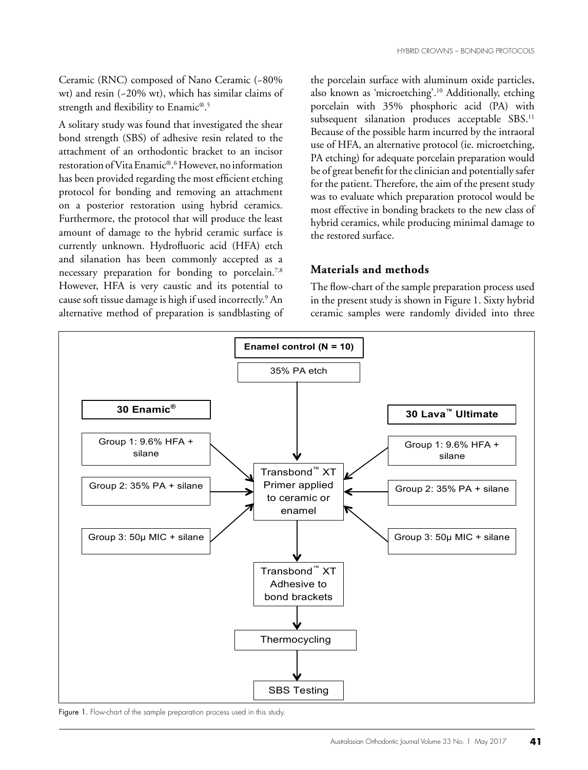Ceramic (RNC) composed of Nano Ceramic (~80% wt) and resin (~20% wt), which has similar claims of strength and flexibility to Enamic®. 5

A solitary study was found that investigated the shear bond strength (SBS) of adhesive resin related to the attachment of an orthodontic bracket to an incisor restoration of Vita Enamic®. 6 However, no information has been provided regarding the most efficient etching protocol for bonding and removing an attachment on a posterior restoration using hybrid ceramics. Furthermore, the protocol that will produce the least amount of damage to the hybrid ceramic surface is currently unknown. Hydrofluoric acid (HFA) etch and silanation has been commonly accepted as a necessary preparation for bonding to porcelain.<sup>7,8</sup> However, HFA is very caustic and its potential to cause soft tissue damage is high if used incorrectly.<sup>9</sup> An alternative method of preparation is sandblasting of

the porcelain surface with aluminum oxide particles, also known as 'microetching'.10 Additionally, etching porcelain with 35% phosphoric acid (PA) with subsequent silanation produces acceptable SBS.<sup>11</sup> Because of the possible harm incurred by the intraoral use of HFA, an alternative protocol (ie. microetching, PA etching) for adequate porcelain preparation would be of great benefit for the clinician and potentially safer for the patient. Therefore, the aim of the present study was to evaluate which preparation protocol would be most effective in bonding brackets to the new class of hybrid ceramics, while producing minimal damage to the restored surface.

### **Materials and methods**

The flow-chart of the sample preparation process used in the present study is shown in Figure 1. Sixty hybrid ceramic samples were randomly divided into three



Figure 1. Flow-chart of the sample preparation process used in this study.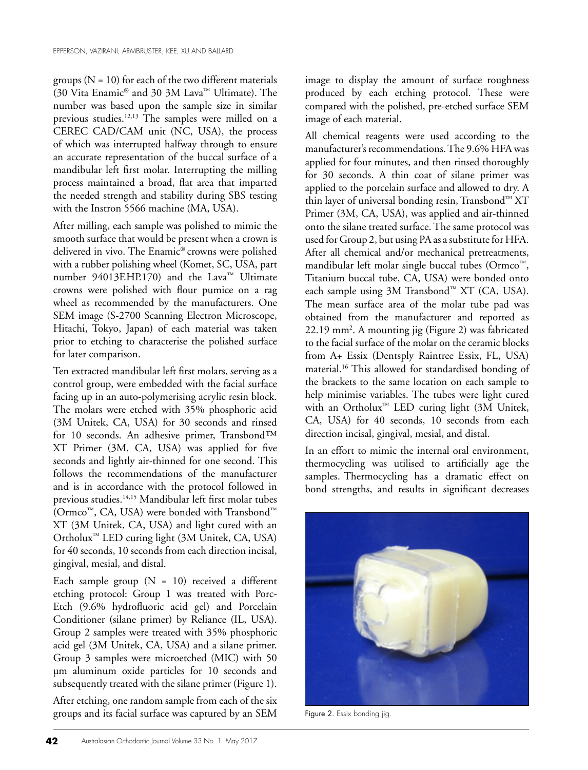groups  $(N = 10)$  for each of the two different materials (30 Vita Enamic® and 30 3M Lava™ Ultimate). The number was based upon the sample size in similar previous studies.<sup>12,13</sup> The samples were milled on a CEREC CAD/CAM unit (NC, USA), the process of which was interrupted halfway through to ensure an accurate representation of the buccal surface of a mandibular left first molar. Interrupting the milling process maintained a broad, flat area that imparted the needed strength and stability during SBS testing with the Instron 5566 machine (MA, USA).

After milling, each sample was polished to mimic the smooth surface that would be present when a crown is delivered in vivo. The Enamic® crowns were polished with a rubber polishing wheel (Komet, SC, USA, part number 94013F.HP.170) and the Lava™ Ultimate crowns were polished with flour pumice on a rag wheel as recommended by the manufacturers. One SEM image (S-2700 Scanning Electron Microscope, Hitachi, Tokyo, Japan) of each material was taken prior to etching to characterise the polished surface for later comparison.

Ten extracted mandibular left first molars, serving as a control group, were embedded with the facial surface facing up in an auto-polymerising acrylic resin block. The molars were etched with 35% phosphoric acid (3M Unitek, CA, USA) for 30 seconds and rinsed for 10 seconds. An adhesive primer, Transbond™ XT Primer (3M, CA, USA) was applied for five seconds and lightly air-thinned for one second. This follows the recommendations of the manufacturer and is in accordance with the protocol followed in previous studies.14,15 Mandibular left first molar tubes (Ormco™, CA, USA) were bonded with Transbond™ XT (3M Unitek, CA, USA) and light cured with an Ortholux™ LED curing light (3M Unitek, CA, USA) for 40 seconds, 10 seconds from each direction incisal, gingival, mesial, and distal.

Each sample group  $(N = 10)$  received a different etching protocol: Group 1 was treated with Porc-Etch (9.6% hydrofluoric acid gel) and Porcelain Conditioner (silane primer) by Reliance (IL, USA). Group 2 samples were treated with 35% phosphoric acid gel (3M Unitek, CA, USA) and a silane primer. Group 3 samples were microetched (MIC) with 50 µm aluminum oxide particles for 10 seconds and subsequently treated with the silane primer (Figure 1).

After etching, one random sample from each of the six groups and its facial surface was captured by an SEM

image to display the amount of surface roughness produced by each etching protocol. These were compared with the polished, pre-etched surface SEM image of each material.

All chemical reagents were used according to the manufacturer's recommendations. The 9.6% HFA was applied for four minutes, and then rinsed thoroughly for 30 seconds. A thin coat of silane primer was applied to the porcelain surface and allowed to dry. A thin layer of universal bonding resin, Transbond™ XT Primer (3M, CA, USA), was applied and air-thinned onto the silane treated surface. The same protocol was used for Group 2, but using PA as a substitute for HFA. After all chemical and/or mechanical pretreatments, mandibular left molar single buccal tubes (Ormco™, Titanium buccal tube, CA, USA) were bonded onto each sample using 3M Transbond™ XT (CA, USA). The mean surface area of the molar tube pad was obtained from the manufacturer and reported as 22.19 mm2 . A mounting jig (Figure 2) was fabricated to the facial surface of the molar on the ceramic blocks from A+ Essix (Dentsply Raintree Essix, FL, USA) material.16 This allowed for standardised bonding of the brackets to the same location on each sample to help minimise variables. The tubes were light cured with an Ortholux<sup>™</sup> LED curing light (3M Unitek, CA, USA) for 40 seconds, 10 seconds from each direction incisal, gingival, mesial, and distal.

In an effort to mimic the internal oral environment, thermocycling was utilised to artificially age the samples. Thermocycling has a dramatic effect on bond strengths, and results in significant decreases



Figure 2. Essix bonding jig.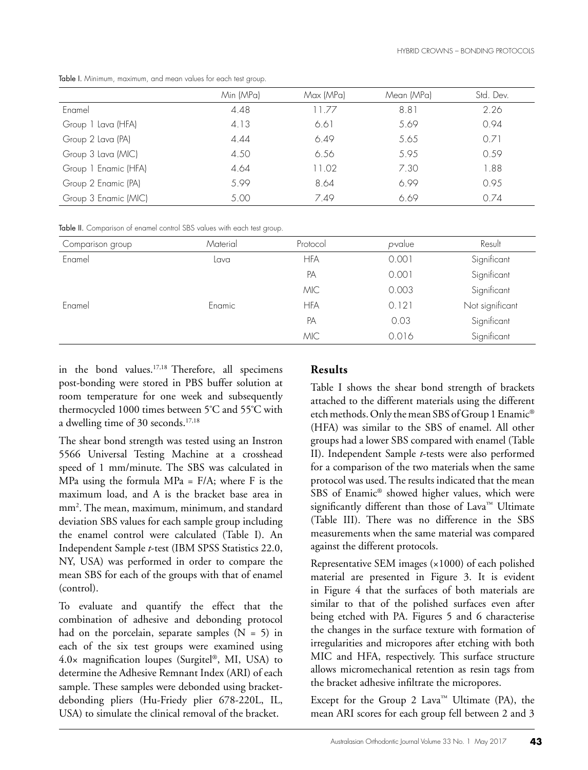|                      | Min (MPa) | Max (MPa) | Mean (MPa) | Std. Dev. |
|----------------------|-----------|-----------|------------|-----------|
| Enamel               | 4.48      | 11.77     | 8.81       | 2.26      |
| Group 1 Lava (HFA)   | 4.13      | 6.61      | 5.69       | 0.94      |
| Group 2 Lava (PA)    | 4.44      | 6.49      | 5.65       | 0.71      |
| Group 3 Lava (MIC)   | 4.50      | 6.56      | 5.95       | 0.59      |
| Group 1 Enamic (HFA) | 4.64      | 11.02     | 7.30       | 1.88      |
| Group 2 Enamic (PA)  | 5.99      | 8.64      | 6.99       | 0.95      |
| Group 3 Enamic (MIC) | 5.00      | 7.49      | 6.69       | 0.74      |

Table I. Minimum, maximum, and mean values for each test group.

Table II. Comparison of enamel control SBS values with each test group.

| Comparison group | Material | Protocol   | p-value | Result          |
|------------------|----------|------------|---------|-----------------|
| Enamel           | Lava     | <b>HFA</b> | 0.001   | Significant     |
|                  |          | PA         | 0.001   | Significant     |
|                  |          | <b>MIC</b> | 0.003   | Significant     |
| Enamel           | Enamic   | <b>HFA</b> | 0.121   | Not significant |
|                  |          | PA         | 0.03    | Significant     |
|                  |          | <b>MIC</b> | 0.016   | Significant     |

in the bond values.17,18 Therefore, all specimens post-bonding were stored in PBS buffer solution at room temperature for one week and subsequently thermocycled 1000 times between 5º C and 55º C with a dwelling time of 30 seconds.<sup>17,18</sup>

The shear bond strength was tested using an Instron 5566 Universal Testing Machine at a crosshead speed of 1 mm/minute. The SBS was calculated in MPa using the formula MPa =  $F/A$ ; where F is the maximum load, and A is the bracket base area in mm2 . The mean, maximum, minimum, and standard deviation SBS values for each sample group including the enamel control were calculated (Table I). An Independent Sample *t*-test (IBM SPSS Statistics 22.0, NY, USA) was performed in order to compare the mean SBS for each of the groups with that of enamel (control).

To evaluate and quantify the effect that the combination of adhesive and debonding protocol had on the porcelain, separate samples  $(N = 5)$  in each of the six test groups were examined using 4.0× magnification loupes (Surgitel®, MI, USA) to determine the Adhesive Remnant Index (ARI) of each sample. These samples were debonded using bracketdebonding pliers (Hu-Friedy plier 678-220L, IL, USA) to simulate the clinical removal of the bracket.

# **Results**

Table I shows the shear bond strength of brackets attached to the different materials using the different etch methods. Only the mean SBS of Group 1 Enamic® (HFA) was similar to the SBS of enamel. All other groups had a lower SBS compared with enamel (Table II). Independent Sample *t*-tests were also performed for a comparison of the two materials when the same protocol was used. The results indicated that the mean SBS of Enamic® showed higher values, which were significantly different than those of Lava™ Ultimate (Table III). There was no difference in the SBS measurements when the same material was compared against the different protocols.

Representative SEM images (×1000) of each polished material are presented in Figure 3. It is evident in Figure 4 that the surfaces of both materials are similar to that of the polished surfaces even after being etched with PA. Figures 5 and 6 characterise the changes in the surface texture with formation of irregularities and micropores after etching with both MIC and HFA, respectively. This surface structure allows micromechanical retention as resin tags from the bracket adhesive infiltrate the micropores.

Except for the Group 2 Lava<sup>™</sup> Ultimate (PA), the mean ARI scores for each group fell between 2 and 3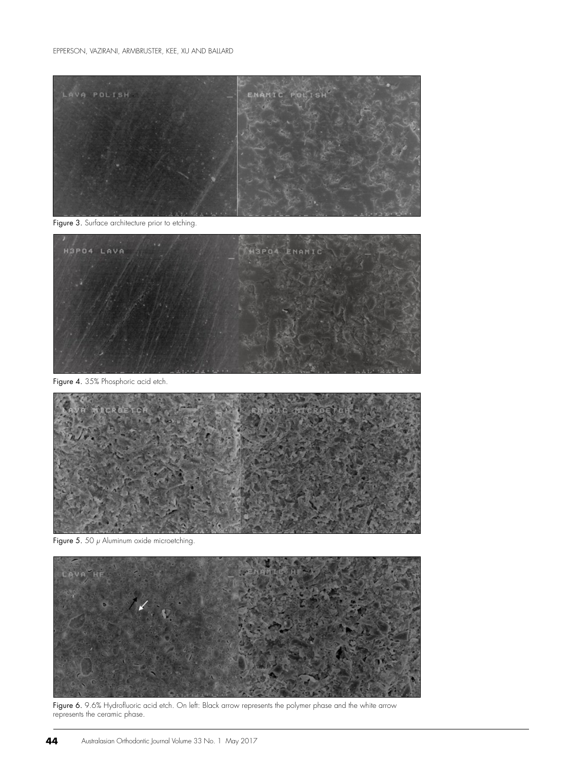

Figure 3. Surface architecture prior to etching.



Figure 4. 35% Phosphoric acid etch.



Figure 5. 50  $\mu$  Aluminum oxide microetching.



Figure 6. 9.6% Hydrofluoric acid etch. On left: Black arrow represents the polymer phase and the white arrow represents the ceramic phase.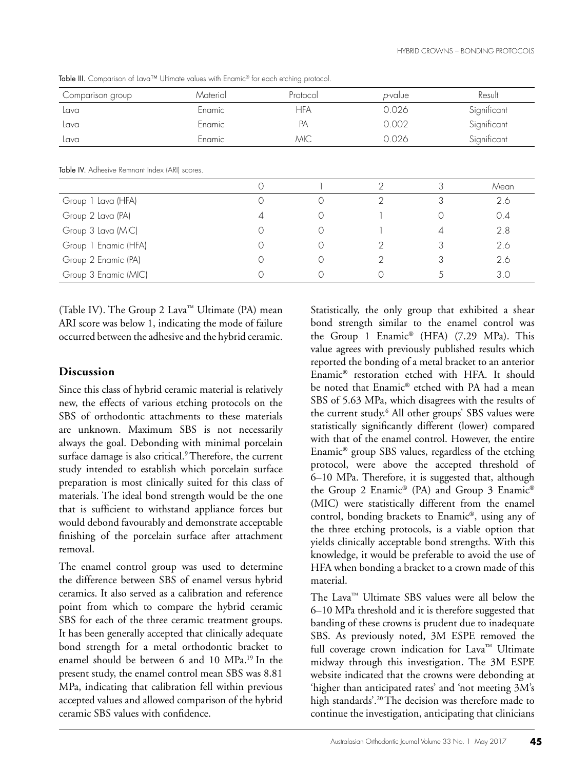| Comparison group | Material | Protocol | p-value | Result      |
|------------------|----------|----------|---------|-------------|
| Lava             | Enamic   | HFA      | 0.026   | Significant |
| Lava             | Enamic   | PA       | 0.002   | Significant |
| Lava             | Enamic   | MIC      | 0.026   | Significant |

Table III. Comparison of Lava™ Ultimate values with Enamic® for each etching protocol.

Table IV. Adhesive Remnant Index (ARI) scores.

|                      |   |  | Mean |
|----------------------|---|--|------|
| Group 1 Lava (HFA)   |   |  | 2.6  |
| Group 2 Lava (PA)    | 4 |  | 0.4  |
| Group 3 Lava (MIC)   |   |  | 2.8  |
| Group 1 Enamic (HFA) |   |  | 2.6  |
| Group 2 Enamic (PA)  |   |  | 2.6  |
| Group 3 Enamic (MIC) |   |  | 3.0  |

(Table IV). The Group 2 Lava™ Ultimate (PA) mean ARI score was below 1, indicating the mode of failure occurred between the adhesive and the hybrid ceramic.

#### **Discussion**

Since this class of hybrid ceramic material is relatively new, the effects of various etching protocols on the SBS of orthodontic attachments to these materials are unknown. Maximum SBS is not necessarily always the goal. Debonding with minimal porcelain surface damage is also critical.<sup>9</sup> Therefore, the current study intended to establish which porcelain surface preparation is most clinically suited for this class of materials. The ideal bond strength would be the one that is sufficient to withstand appliance forces but would debond favourably and demonstrate acceptable finishing of the porcelain surface after attachment removal.

The enamel control group was used to determine the difference between SBS of enamel versus hybrid ceramics. It also served as a calibration and reference point from which to compare the hybrid ceramic SBS for each of the three ceramic treatment groups. It has been generally accepted that clinically adequate bond strength for a metal orthodontic bracket to enamel should be between 6 and 10 MPa.19 In the present study, the enamel control mean SBS was 8.81 MPa, indicating that calibration fell within previous accepted values and allowed comparison of the hybrid ceramic SBS values with confidence.

Statistically, the only group that exhibited a shear bond strength similar to the enamel control was the Group 1 Enamic® (HFA) (7.29 MPa). This value agrees with previously published results which reported the bonding of a metal bracket to an anterior Enamic® restoration etched with HFA. It should be noted that Enamic® etched with PA had a mean SBS of 5.63 MPa, which disagrees with the results of the current study.6 All other groups' SBS values were statistically significantly different (lower) compared with that of the enamel control. However, the entire Enamic® group SBS values, regardless of the etching protocol, were above the accepted threshold of 6–10 MPa. Therefore, it is suggested that, although the Group 2 Enamic® (PA) and Group 3 Enamic® (MIC) were statistically different from the enamel control, bonding brackets to Enamic®, using any of the three etching protocols, is a viable option that yields clinically acceptable bond strengths. With this knowledge, it would be preferable to avoid the use of HFA when bonding a bracket to a crown made of this material.

The Lava™ Ultimate SBS values were all below the 6–10 MPa threshold and it is therefore suggested that banding of these crowns is prudent due to inadequate SBS. As previously noted, 3M ESPE removed the full coverage crown indication for Lava™ Ultimate midway through this investigation. The 3M ESPE website indicated that the crowns were debonding at 'higher than anticipated rates' and 'not meeting 3M's high standards'.20 The decision was therefore made to continue the investigation, anticipating that clinicians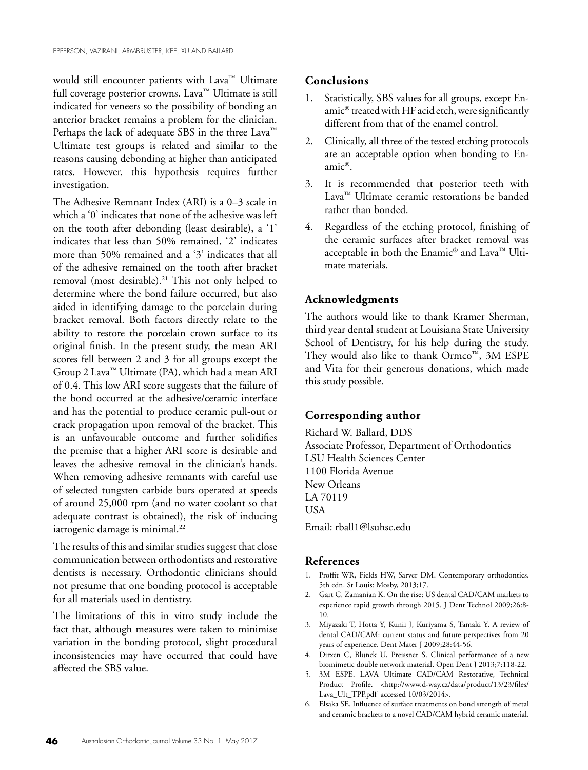would still encounter patients with Lava™ Ultimate full coverage posterior crowns. Lava™ Ultimate is still indicated for veneers so the possibility of bonding an anterior bracket remains a problem for the clinician. Perhaps the lack of adequate SBS in the three Lava™ Ultimate test groups is related and similar to the reasons causing debonding at higher than anticipated rates. However, this hypothesis requires further investigation.

The Adhesive Remnant Index (ARI) is a 0–3 scale in which a '0' indicates that none of the adhesive was left on the tooth after debonding (least desirable), a '1' indicates that less than 50% remained, '2' indicates more than 50% remained and a '3' indicates that all of the adhesive remained on the tooth after bracket removal (most desirable).<sup>21</sup> This not only helped to determine where the bond failure occurred, but also aided in identifying damage to the porcelain during bracket removal. Both factors directly relate to the ability to restore the porcelain crown surface to its original finish. In the present study, the mean ARI scores fell between 2 and 3 for all groups except the Group 2 Lava™ Ultimate (PA), which had a mean ARI of 0.4. This low ARI score suggests that the failure of the bond occurred at the adhesive/ceramic interface and has the potential to produce ceramic pull-out or crack propagation upon removal of the bracket. This is an unfavourable outcome and further solidifies the premise that a higher ARI score is desirable and leaves the adhesive removal in the clinician's hands. When removing adhesive remnants with careful use of selected tungsten carbide burs operated at speeds of around 25,000 rpm (and no water coolant so that adequate contrast is obtained), the risk of inducing iatrogenic damage is minimal.<sup>22</sup>

The results of this and similar studies suggest that close communication between orthodontists and restorative dentists is necessary. Orthodontic clinicians should not presume that one bonding protocol is acceptable for all materials used in dentistry.

The limitations of this in vitro study include the fact that, although measures were taken to minimise variation in the bonding protocol, slight procedural inconsistencies may have occurred that could have affected the SBS value.

#### **Conclusions**

- 1. Statistically, SBS values for all groups, except Enamic® treated with HF acid etch, were significantly different from that of the enamel control.
- 2. Clinically, all three of the tested etching protocols are an acceptable option when bonding to Enamic®.
- 3. It is recommended that posterior teeth with Lava™ Ultimate ceramic restorations be banded rather than bonded.
- 4. Regardless of the etching protocol, finishing of the ceramic surfaces after bracket removal was acceptable in both the Enamic® and Lava™ Ultimate materials.

#### **Acknowledgments**

The authors would like to thank Kramer Sherman, third year dental student at Louisiana State University School of Dentistry, for his help during the study. They would also like to thank Ormco™, 3M ESPE and Vita for their generous donations, which made this study possible.

#### **Corresponding author**

Richard W. Ballard, DDS Associate Professor, Department of Orthodontics LSU Health Sciences Center 1100 Florida Avenue New Orleans LA 70119 USA

Email: rball1@lsuhsc.edu

#### **References**

- 1. Proffit WR, Fields HW, Sarver DM. Contemporary orthodontics. 5th edn. St Louis: Mosby, 2013;17.
- 2. Gart C, Zamanian K. On the rise: US dental CAD/CAM markets to experience rapid growth through 2015. J Dent Technol 2009;26:8- 10.
- 3. Miyazaki T, Hotta Y, Kunii J, Kuriyama S, Tamaki Y. A review of dental CAD/CAM: current status and future perspectives from 20 years of experience. Dent Mater J 2009;28:44-56.
- 4. Dirxen C, Blunck U, Preissner S. Clinical performance of a new biomimetic double network material. Open Dent J 2013;7:118-22.
- 5. 3M ESPE. LAVA Ultimate CAD/CAM Restorative, Technical Product Profile. <http://www.d-way.cz/data/product/13/23/files/ Lava\_Ult\_TPP.pdf accessed 10/03/2014>.
- 6. Elsaka SE. Influence of surface treatments on bond strength of metal and ceramic brackets to a novel CAD/CAM hybrid ceramic material.